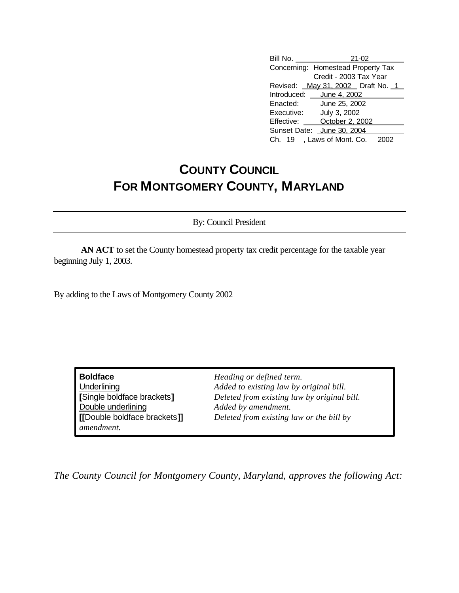## **COUNTY COUNCIL FOR MONTGOMERY COUNTY, MARYLAND**

By: Council President

**AN ACT** to set the County homestead property tax credit percentage for the taxable year beginning July 1, 2003.

By adding to the Laws of Montgomery County 2002

**Boldface** *Heading or defined term.* Double underlining *Added by amendment. amendment.*

Underlining *Added to existing law by original bill.* **[**Single boldface brackets**]** *Deleted from existing law by original bill.* **[[**Double boldface brackets**]]** *Deleted from existing law or the bill by*

*The County Council for Montgomery County, Maryland, approves the following Act:*